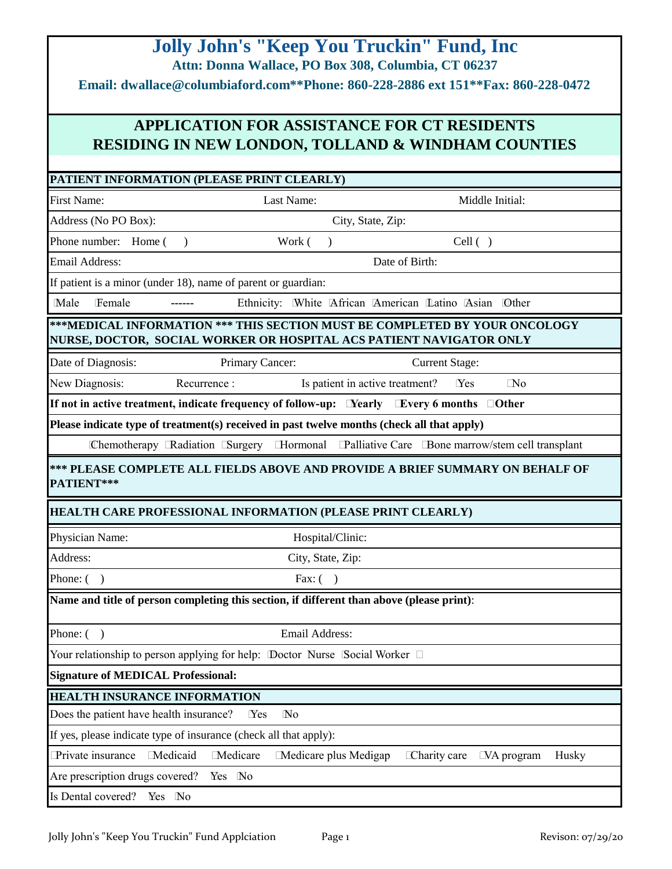|                                                                                                                                         | <b>Jolly John's "Keep You Truckin" Fund, Inc.</b>                                          |                                                                                                                                                   |  |
|-----------------------------------------------------------------------------------------------------------------------------------------|--------------------------------------------------------------------------------------------|---------------------------------------------------------------------------------------------------------------------------------------------------|--|
| Attn: Donna Wallace, PO Box 308, Columbia, CT 06237<br>Email: dwallace@columbiaford.com**Phone: 860-228-2886 ext 151**Fax: 860-228-0472 |                                                                                            |                                                                                                                                                   |  |
| <b>APPLICATION FOR ASSISTANCE FOR CT RESIDENTS</b><br><b>RESIDING IN NEW LONDON, TOLLAND &amp; WINDHAM COUNTIES</b>                     |                                                                                            |                                                                                                                                                   |  |
|                                                                                                                                         | PATIENT INFORMATION (PLEASE PRINT CLEARLY)                                                 |                                                                                                                                                   |  |
| <b>First Name:</b>                                                                                                                      | Last Name:                                                                                 | Middle Initial:                                                                                                                                   |  |
| Address (No PO Box):                                                                                                                    |                                                                                            | City, State, Zip:                                                                                                                                 |  |
| Phone number: Home (                                                                                                                    | Work (<br>$\lambda$<br>$\lambda$                                                           | Cell( )                                                                                                                                           |  |
| <b>Email Address:</b>                                                                                                                   |                                                                                            | Date of Birth:                                                                                                                                    |  |
|                                                                                                                                         | If patient is a minor (under 18), name of parent or guardian:                              |                                                                                                                                                   |  |
| Male<br>Female                                                                                                                          |                                                                                            | Ethnicity: White African American Latino Asian Other                                                                                              |  |
|                                                                                                                                         |                                                                                            | ***MEDICAL INFORMATION *** THIS SECTION MUST BE COMPLETED BY YOUR ONCOLOGY<br>NURSE, DOCTOR, SOCIAL WORKER OR HOSPITAL ACS PATIENT NAVIGATOR ONLY |  |
| Date of Diagnosis:                                                                                                                      | Primary Cancer:                                                                            | <b>Current Stage:</b>                                                                                                                             |  |
| New Diagnosis:                                                                                                                          | Recurrence:                                                                                | Is patient in active treatment?<br>$\Box$ No<br>Yes                                                                                               |  |
|                                                                                                                                         |                                                                                            | If not in active treatment, indicate frequency of follow-up: □ Nearly □ Every 6 months □ Other                                                    |  |
|                                                                                                                                         | Please indicate type of treatment(s) received in past twelve months (check all that apply) |                                                                                                                                                   |  |
|                                                                                                                                         |                                                                                            | Chemotherapy ERadiation ESurgery EHormonal EPalliative Care EBone marrow/stem cell transplant                                                     |  |
| PATIENT***                                                                                                                              |                                                                                            | *** PLEASE COMPLETE ALL FIELDS ABOVE AND PROVIDE A BRIEF SUMMARY ON BEHALF OF                                                                     |  |
|                                                                                                                                         | <b>HEALTH CARE PROFESSIONAL INFORMATION (PLEASE PRINT CLEARLY)</b>                         |                                                                                                                                                   |  |
| Physician Name:                                                                                                                         | Hospital/Clinic:                                                                           |                                                                                                                                                   |  |
| Address:                                                                                                                                | City, State, Zip:                                                                          |                                                                                                                                                   |  |
| Phone: (<br>$\mathcal{L}$                                                                                                               | Fax: $( )$                                                                                 |                                                                                                                                                   |  |
|                                                                                                                                         | Name and title of person completing this section, if different than above (please print):  |                                                                                                                                                   |  |
| Phone: (<br>$\lambda$                                                                                                                   | <b>Email Address:</b>                                                                      |                                                                                                                                                   |  |
|                                                                                                                                         | Your relationship to person applying for help: Doctor Nurse Social Worker $\Box$           |                                                                                                                                                   |  |
| <b>Signature of MEDICAL Professional:</b>                                                                                               |                                                                                            |                                                                                                                                                   |  |
| <b>HEALTH INSURANCE INFORMATION</b>                                                                                                     |                                                                                            |                                                                                                                                                   |  |
| Does the patient have health insurance?                                                                                                 | $\mathbb{N}^{\text{o}}$<br>Yes                                                             |                                                                                                                                                   |  |
|                                                                                                                                         | If yes, please indicate type of insurance (check all that apply):                          |                                                                                                                                                   |  |
| Private insurance                                                                                                                       | Medicaid<br>Medicare<br>Medicare plus Medigap                                              | Charity care<br>$\Box$ VA program<br>Husky                                                                                                        |  |
| Are prescription drugs covered?                                                                                                         | Yes No                                                                                     |                                                                                                                                                   |  |
| Is Dental covered?                                                                                                                      | Yes No                                                                                     |                                                                                                                                                   |  |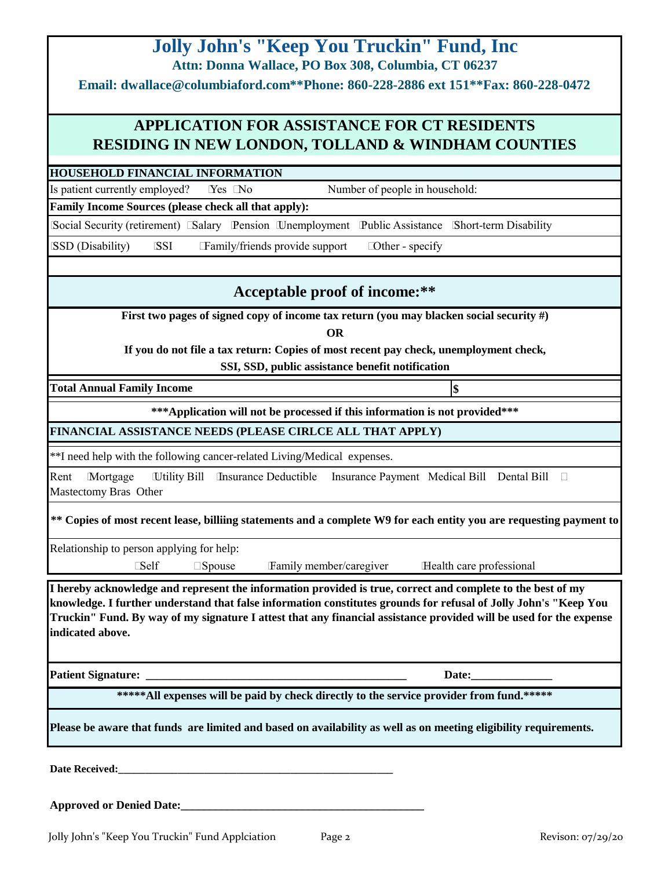| <b>Jolly John's "Keep You Truckin" Fund, Inc.</b>                                                                                                                                                                                                                                                                                                                          |  |  |  |
|----------------------------------------------------------------------------------------------------------------------------------------------------------------------------------------------------------------------------------------------------------------------------------------------------------------------------------------------------------------------------|--|--|--|
| Attn: Donna Wallace, PO Box 308, Columbia, CT 06237                                                                                                                                                                                                                                                                                                                        |  |  |  |
| Email: dwallace@columbiaford.com**Phone: 860-228-2886 ext 151**Fax: 860-228-0472                                                                                                                                                                                                                                                                                           |  |  |  |
| <b>APPLICATION FOR ASSISTANCE FOR CT RESIDENTS</b>                                                                                                                                                                                                                                                                                                                         |  |  |  |
| <b>RESIDING IN NEW LONDON, TOLLAND &amp; WINDHAM COUNTIES</b>                                                                                                                                                                                                                                                                                                              |  |  |  |
| <b>HOUSEHOLD FINANCIAL INFORMATION</b>                                                                                                                                                                                                                                                                                                                                     |  |  |  |
| Number of people in household:<br>Is patient currently employed?<br>Yes No                                                                                                                                                                                                                                                                                                 |  |  |  |
| Family Income Sources (please check all that apply):                                                                                                                                                                                                                                                                                                                       |  |  |  |
| [Social Security (retirement) [Salary Pension Unemployment Public Assistance [Short-term Disability                                                                                                                                                                                                                                                                        |  |  |  |
| <b>SSD</b> (Disability)<br><b>SSI</b><br>Family/friends provide support<br>□ Other - specify                                                                                                                                                                                                                                                                               |  |  |  |
| Acceptable proof of income:**                                                                                                                                                                                                                                                                                                                                              |  |  |  |
| First two pages of signed copy of income tax return (you may blacken social security #)                                                                                                                                                                                                                                                                                    |  |  |  |
| <b>OR</b>                                                                                                                                                                                                                                                                                                                                                                  |  |  |  |
| If you do not file a tax return: Copies of most recent pay check, unemployment check,                                                                                                                                                                                                                                                                                      |  |  |  |
| SSI, SSD, public assistance benefit notification                                                                                                                                                                                                                                                                                                                           |  |  |  |
| <b>Total Annual Family Income</b><br>\$                                                                                                                                                                                                                                                                                                                                    |  |  |  |
| *** Application will not be processed if this information is not provided***                                                                                                                                                                                                                                                                                               |  |  |  |
| FINANCIAL ASSISTANCE NEEDS (PLEASE CIRLCE ALL THAT APPLY)                                                                                                                                                                                                                                                                                                                  |  |  |  |
| **I need help with the following cancer-related Living/Medical expenses.                                                                                                                                                                                                                                                                                                   |  |  |  |
| Wility Bill Insurance Deductible Insurance Payment Medical Bill Dental Bill<br>Mortgage<br>Rent<br>Mastectomy Bras Other                                                                                                                                                                                                                                                   |  |  |  |
| ** Copies of most recent lease, billiing statements and a complete W9 for each entity you are requesting payment to                                                                                                                                                                                                                                                        |  |  |  |
| Relationship to person applying for help:                                                                                                                                                                                                                                                                                                                                  |  |  |  |
| <b>Self</b><br>Health care professional<br>Family member/caregiver<br>$\square$ Spouse                                                                                                                                                                                                                                                                                     |  |  |  |
| I hereby acknowledge and represent the information provided is true, correct and complete to the best of my<br>knowledge. I further understand that false information constitutes grounds for refusal of Jolly John's "Keep You<br>Truckin'' Fund. By way of my signature I attest that any financial assistance provided will be used for the expense<br>indicated above. |  |  |  |
| <b>Patient Signature:</b>                                                                                                                                                                                                                                                                                                                                                  |  |  |  |
| ***** All expenses will be paid by check directly to the service provider from fund.*****                                                                                                                                                                                                                                                                                  |  |  |  |
| Please be aware that funds are limited and based on availability as well as on meeting eligibility requirements.                                                                                                                                                                                                                                                           |  |  |  |
| Date Received:                                                                                                                                                                                                                                                                                                                                                             |  |  |  |
| <b>Approved or Denied Date:</b>                                                                                                                                                                                                                                                                                                                                            |  |  |  |